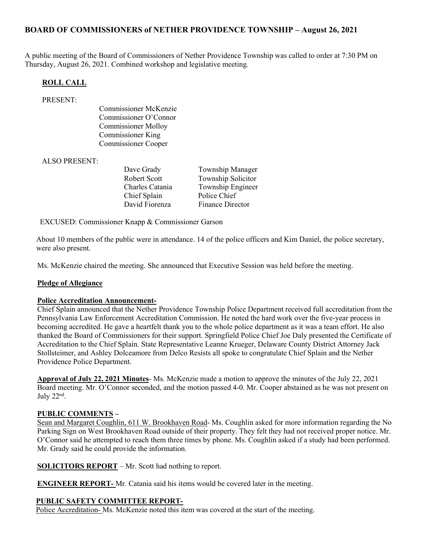# BOARD OF COMMISSIONERS of NETHER PROVIDENCE TOWNSHIP – August 26, 2021

A public meeting of the Board of Commissioners of Nether Providence Township was called to order at 7:30 PM on Thursday, August 26, 2021. Combined workshop and legislative meeting.

#### ROLL CALL

#### PRESENT:

Commissioner McKenzie Commissioner O'Connor Commissioner Molloy Commissioner King Commissioner Cooper

#### ALSO PRESENT:

Dave Grady Township Manager Robert Scott Township Solicitor Charles Catania Township Engineer Chief Splain Police Chief David Fiorenza Finance Director

EXCUSED: Commissioner Knapp & Commissioner Garson

About 10 members of the public were in attendance. 14 of the police officers and Kim Daniel, the police secretary, were also present.

Ms. McKenzie chaired the meeting. She announced that Executive Session was held before the meeting.

#### Pledge of Allegiance

#### Police Accreditation Announcement-

Chief Splain announced that the Nether Providence Township Police Department received full accreditation from the Pennsylvania Law Enforcement Accreditation Commission. He noted the hard work over the five-year process in becoming accredited. He gave a heartfelt thank you to the whole police department as it was a team effort. He also thanked the Board of Commissioners for their support. Springfield Police Chief Joe Daly presented the Certificate of Accreditation to the Chief Splain. State Representative Leanne Krueger, Delaware County District Attorney Jack Stollsteimer, and Ashley Dolceamore from Delco Resists all spoke to congratulate Chief Splain and the Nether Providence Police Department.

Approval of July 22, 2021 Minutes- Ms. McKenzie made a motion to approve the minutes of the July 22, 2021 Board meeting. Mr. O'Connor seconded, and the motion passed 4-0. Mr. Cooper abstained as he was not present on July  $22<sup>nd</sup>$ .

#### PUBLIC COMMENTS –

Sean and Margaret Coughlin, 611 W. Brookhaven Road- Ms. Coughlin asked for more information regarding the No Parking Sign on West Brookhaven Road outside of their property. They felt they had not received proper notice. Mr. O'Connor said he attempted to reach them three times by phone. Ms. Coughlin asked if a study had been performed. Mr. Grady said he could provide the information.

SOLICITORS REPORT – Mr. Scott had nothing to report.

ENGINEER REPORT- Mr. Catania said his items would be covered later in the meeting.

# PUBLIC SAFETY COMMITTEE REPORT-

Police Accreditation- Ms. McKenzie noted this item was covered at the start of the meeting.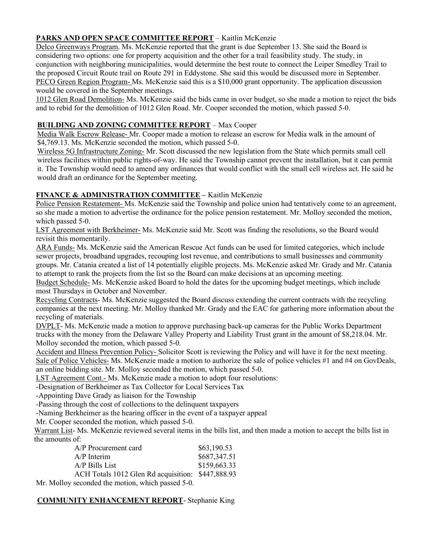# PARKS AND OPEN SPACE COMMITTEE REPORT – Kaitlin McKenzie

Delco Greenways Program. Ms. McKenzie reported that the grant is due September 13. She said the Board is considering two options: one for property acquisition and the other for a trail feasibility study. The study, in conjunction with neighboring municipalities, would determine the best route to connect the Leiper Smedley Trail to the proposed Circuit Route trail on Route 291 in Eddystone. She said this would be discussed more in September. PECO Green Region Program- Ms. McKenzie said this is a \$10,000 grant opportunity. The application discussion would be covered in the September meetings.

1012 Glen Road Demolition- Ms. McKenzie said the bids came in over budget, so she made a motion to reject the bids and to rebid for the demolition of 1012 Glen Road. Mr. Cooper seconded the motion, which passed 5-0.

### BUILDING AND ZONING COMMITTEE REPORT – Max Cooper

Media Walk Escrow Release- Mr. Cooper made a motion to release an escrow for Media walk in the amount of \$4,769.13. Ms. McKenzie seconded the motion, which passed 5-0.

Wireless 5G Infrastructure Zoning- Mr. Scott discussed the new legislation from the State which permits small cell wireless facilities within public rights-of-way. He said the Township cannot prevent the installation, but it can permit it. The Township would need to amend any ordinances that would conflict with the small cell wireless act. He said he would draft an ordinance for the September meeting.

# FINANCE & ADMINISTRATION COMMITTEE – Kaitlin McKenzie

Police Pension Restatement- Ms. McKenzie said the Township and police union had tentatively come to an agreement, so she made a motion to advertise the ordinance for the police pension restatement. Mr. Molloy seconded the motion, which passed 5-0.

LST Agreement with Berkheimer- Ms. McKenzie said Mr. Scott was finding the resolutions, so the Board would revisit this momentarily.

ARA Funds- Ms. McKenzie said the American Rescue Act funds can be used for limited categories, which include sewer projects, broadband upgrades, recouping lost revenue, and contributions to small businesses and community groups. Mr. Catania created a list of 14 potentially eligible projects. Ms. McKenzie asked Mr. Grady and Mr. Catania to attempt to rank the projects from the list so the Board can make decisions at an upcoming meeting.

Budget Schedule- Ms. McKenzie asked Board to hold the dates for the upcoming budget meetings, which include most Thursdays in October and November.

Recycling Contracts- Ms. McKenzie suggested the Board discuss extending the current contracts with the recycling companies at the next meeting. Mr. Molloy thanked Mr. Grady and the EAC for gathering more information about the recycling of materials.

DVPLT- Ms. McKenzie made a motion to approve purchasing back-up cameras for the Public Works Department trucks with the money from the Delaware Valley Property and Liability Trust grant in the amount of \$8,218.04. Mr. Molloy seconded the motion, which passed 5-0.

Accident and Illness Prevention Policy- Solicitor Scott is reviewing the Policy and will have it for the next meeting. Sale of Police Vehicles- Ms. McKenzie made a motion to authorize the sale of police vehicles #1 and #4 on GovDeals, an online bidding site. Mr. Molloy seconded the motion, which passed 5-0.

LST Agreement Cont.- Ms. McKenzie made a motion to adopt four resolutions:

-Designation of Berkheimer as Tax Collector for Local Services Tax

-Appointing Dave Grady as liaison for the Township

-Passing through the cost of collections to the delinquent taxpayers

-Naming Berkheimer as the hearing officer in the event of a taxpayer appeal

Mr. Cooper seconded the motion, which passed 5-0.

Warrant List- Ms. McKenzie reviewed several items in the bills list, and then made a motion to accept the bills list in the amounts of:

| A/P Procurement card                              | \$63,190.53  |
|---------------------------------------------------|--------------|
| $A/P$ Interim                                     | \$687,347.51 |
| $A/P$ Bills List                                  | \$159,663.33 |
| ACH Totals 1012 Glen Rd acquisition: \$447,888.93 |              |
|                                                   |              |

Mr. Molloy seconded the motion, which passed 5-0.

# COMMUNITY ENHANCEMENT REPORT- Stephanie King